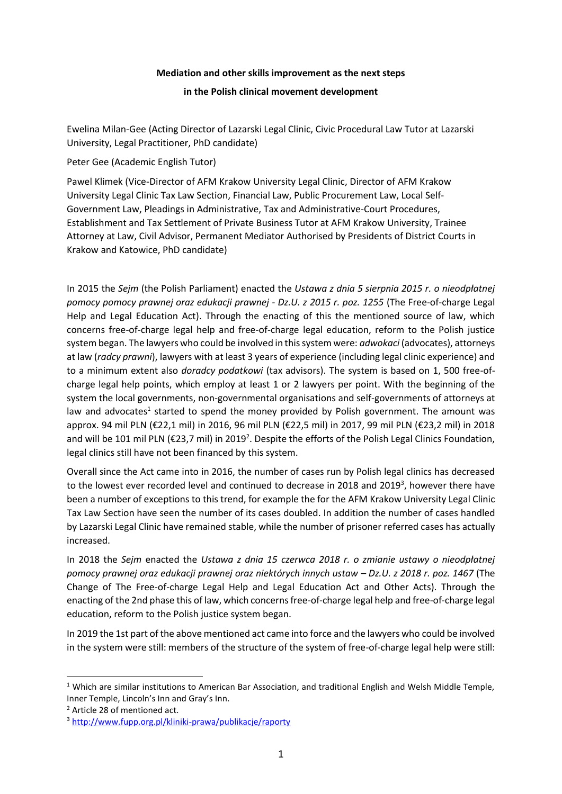## **Mediation and other skills improvement as the next steps**

**in the Polish clinical movement development**

Ewelina Milan-Gee (Acting Director of Lazarski Legal Clinic, Civic Procedural Law Tutor at Lazarski University, Legal Practitioner, PhD candidate)

Peter Gee (Academic English Tutor)

Pawel Klimek (Vice-Director of AFM Krakow University Legal Clinic, Director of AFM Krakow University Legal Clinic Tax Law Section, Financial Law, Public Procurement Law, Local Self-Government Law, Pleadings in Administrative, Tax and Administrative-Court Procedures, Establishment and Tax Settlement of Private Business Tutor at AFM Krakow University, Trainee Attorney at Law, Civil Advisor, Permanent Mediator Authorised by Presidents of District Courts in Krakow and Katowice, PhD candidate)

In 2015 the *Sejm* (the Polish Parliament) enacted the *Ustawa z dnia 5 sierpnia 2015 r. o nieodpłatnej pomocy pomocy prawnej oraz edukacji prawnej - Dz.U. z 2015 r. poz. 1255* (The Free-of-charge Legal Help and Legal Education Act). Through the enacting of this the mentioned source of law, which concerns free-of-charge legal help and free-of-charge legal education, reform to the Polish justice system began. The lawyers who could be involved in this system were: *adwokaci* (advocates), attorneys at law (*radcy prawni*), lawyers with at least 3 years of experience (including legal clinic experience) and to a minimum extent also *doradcy podatkowi* (tax advisors). The system is based on 1, 500 free-ofcharge legal help points, which employ at least 1 or 2 lawyers per point. With the beginning of the system the local governments, non-governmental organisations and self-governments of attorneys at law and advocates<sup>1</sup> started to spend the money provided by Polish government. The amount was approx. 94 mil PLN (€22,1 mil) in 2016, 96 mil PLN (€22,5 mil) in 2017, 99 mil PLN (€23,2 mil) in 2018 and will be 101 mil PLN (€23,7 mil) in 2019<sup>2</sup>. Despite the efforts of the Polish Legal Clinics Foundation, legal clinics still have not been financed by this system.

Overall since the Act came into in 2016, the number of cases run by Polish legal clinics has decreased to the lowest ever recorded level and continued to decrease in 2018 and 2019<sup>3</sup>, however there have been a number of exceptions to this trend, for example the for the AFM Krakow University Legal Clinic Tax Law Section have seen the number of its cases doubled. In addition the number of cases handled by Lazarski Legal Clinic have remained stable, while the number of prisoner referred cases has actually increased.

In 2018 the *Sejm* enacted the *Ustawa z dnia 15 czerwca 2018 r. o zmianie ustawy o nieodpłatnej pomocy prawnej oraz edukacji prawnej oraz niektórych innych ustaw – Dz.U. z 2018 r. poz. 1467* (The Change of The Free-of-charge Legal Help and Legal Education Act and Other Acts). Through the enacting of the 2nd phase this of law, which concerns free-of-charge legal help and free-of-charge legal education, reform to the Polish justice system began.

In 2019 the 1st part of the above mentioned act came into force and the lawyers who could be involved in the system were still: members of the structure of the system of free-of-charge legal help were still:

**.** 

 $1$  Which are similar institutions to American Bar Association, and traditional English and Welsh Middle Temple, Inner Temple, Lincoln's Inn and Gray's Inn.

<sup>&</sup>lt;sup>2</sup> Article 28 of mentioned act.

<sup>3</sup> <http://www.fupp.org.pl/kliniki-prawa/publikacje/raporty>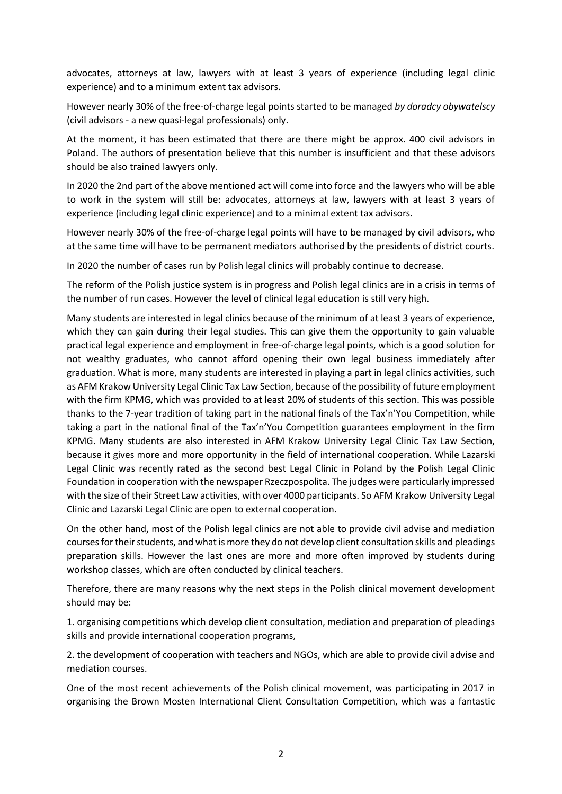advocates, attorneys at law, lawyers with at least 3 years of experience (including legal clinic experience) and to a minimum extent tax advisors.

However nearly 30% of the free-of-charge legal points started to be managed *by doradcy obywatelscy* (civil advisors - a new quasi-legal professionals) only.

At the moment, it has been estimated that there are there might be approx. 400 civil advisors in Poland. The authors of presentation believe that this number is insufficient and that these advisors should be also trained lawyers only.

In 2020 the 2nd part of the above mentioned act will come into force and the lawyers who will be able to work in the system will still be: advocates, attorneys at law, lawyers with at least 3 years of experience (including legal clinic experience) and to a minimal extent tax advisors.

However nearly 30% of the free-of-charge legal points will have to be managed by civil advisors, who at the same time will have to be permanent mediators authorised by the presidents of district courts.

In 2020 the number of cases run by Polish legal clinics will probably continue to decrease.

The reform of the Polish justice system is in progress and Polish legal clinics are in a crisis in terms of the number of run cases. However the level of clinical legal education is still very high.

Many students are interested in legal clinics because of the minimum of at least 3 years of experience, which they can gain during their legal studies. This can give them the opportunity to gain valuable practical legal experience and employment in free-of-charge legal points, which is a good solution for not wealthy graduates, who cannot afford opening their own legal business immediately after graduation. What is more, many students are interested in playing a part in legal clinics activities, such as AFM Krakow University Legal Clinic Tax Law Section, because of the possibility of future employment with the firm KPMG, which was provided to at least 20% of students of this section. This was possible thanks to the 7-year tradition of taking part in the national finals of the Tax'n'You Competition, while taking a part in the national final of the Tax'n'You Competition guarantees employment in the firm KPMG. Many students are also interested in AFM Krakow University Legal Clinic Tax Law Section, because it gives more and more opportunity in the field of international cooperation. While Lazarski Legal Clinic was recently rated as the second best Legal Clinic in Poland by the Polish Legal Clinic Foundation in cooperation with the newspaper Rzeczpospolita. The judges were particularly impressed with the size of their Street Law activities, with over 4000 participants. So AFM Krakow University Legal Clinic and Lazarski Legal Clinic are open to external cooperation.

On the other hand, most of the Polish legal clinics are not able to provide civil advise and mediation courses for their students, and what is more they do not develop client consultation skills and pleadings preparation skills. However the last ones are more and more often improved by students during workshop classes, which are often conducted by clinical teachers.

Therefore, there are many reasons why the next steps in the Polish clinical movement development should may be:

1. organising competitions which develop client consultation, mediation and preparation of pleadings skills and provide international cooperation programs,

2. the development of cooperation with teachers and NGOs, which are able to provide civil advise and mediation courses.

One of the most recent achievements of the Polish clinical movement, was participating in 2017 in organising the Brown Mosten International Client Consultation Competition, which was a fantastic